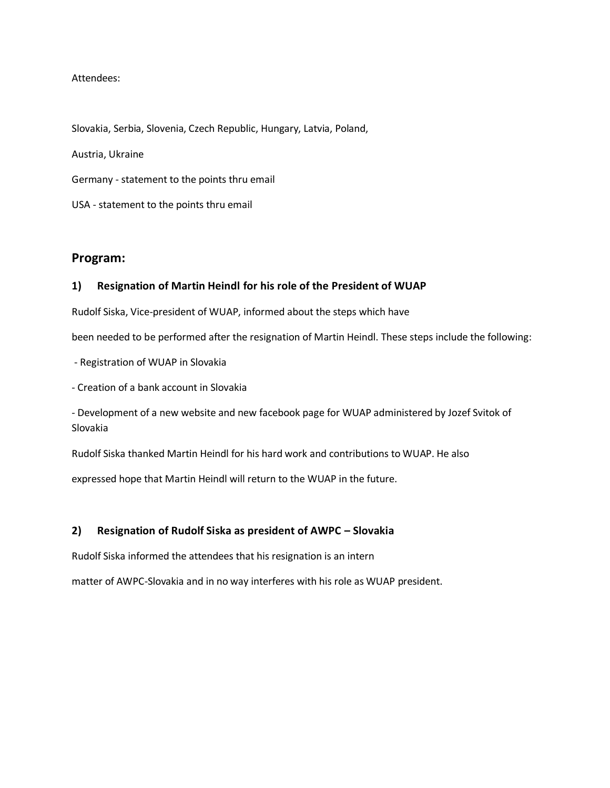#### Attendees:

Slovakia, Serbia, Slovenia, Czech Republic, Hungary, Latvia, Poland,

Austria, Ukraine

Germany - statement to the points thru email

USA - statement to the points thru email

# **Program:**

## **1) Resignation of Martin Heindl for his role of the President of WUAP**

Rudolf Siska, Vice-president of WUAP, informed about the steps which have

been needed to be performed after the resignation of Martin Heindl. These steps include the following:

- Registration of WUAP in Slovakia

- Creation of a bank account in Slovakia

- Development of a new website and new facebook page for WUAP administered by Jozef Svitok of Slovakia

Rudolf Siska thanked Martin Heindl for his hard work and contributions to WUAP. He also

expressed hope that Martin Heindl will return to the WUAP in the future.

### **2) Resignation of Rudolf Siska as president of AWPC – Slovakia**

Rudolf Siska informed the attendees that his resignation is an intern

matter of AWPC-Slovakia and in no way interferes with his role as WUAP president.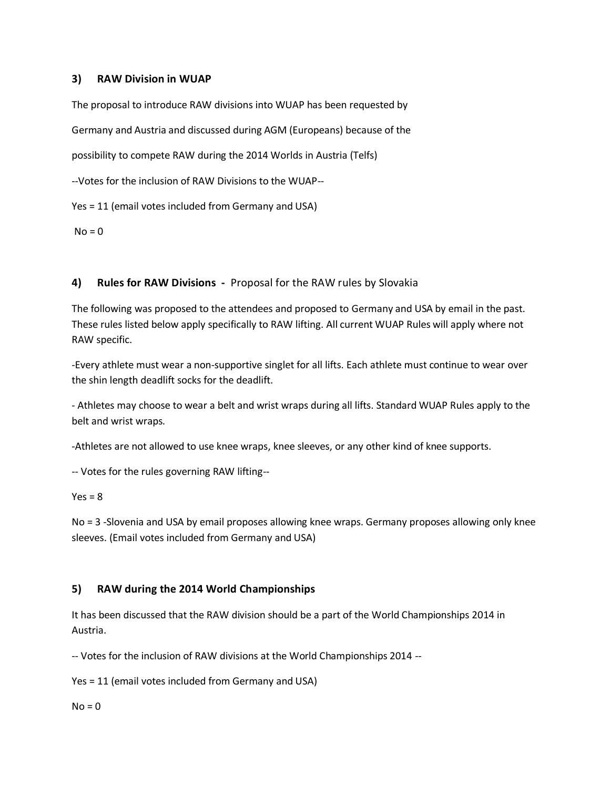# **3) RAW Division in WUAP**

The proposal to introduce RAW divisions into WUAP has been requested by

Germany and Austria and discussed during AGM (Europeans) because of the

possibility to compete RAW during the 2014 Worlds in Austria (Telfs)

--Votes for the inclusion of RAW Divisions to the WUAP--

Yes = 11 (email votes included from Germany and USA)

 $No = 0$ 

# **4) Rules for RAW Divisions -** Proposal for the RAW rules by Slovakia

The following was proposed to the attendees and proposed to Germany and USA by email in the past. These rules listed below apply specifically to RAW lifting. All current WUAP Rules will apply where not RAW specific.

-Every athlete must wear a non-supportive singlet for all lifts. Each athlete must continue to wear over the shin length deadlift socks for the deadlift.

- Athletes may choose to wear a belt and wrist wraps during all lifts. Standard WUAP Rules apply to the belt and wrist wraps.

-Athletes are not allowed to use knee wraps, knee sleeves, or any other kind of knee supports.

-- Votes for the rules governing RAW lifting--

 $Yes = 8$ 

No = 3 -Slovenia and USA by email proposes allowing knee wraps. Germany proposes allowing only knee sleeves. (Email votes included from Germany and USA)

# **5) RAW during the 2014 World Championships**

It has been discussed that the RAW division should be a part of the World Championships 2014 in Austria.

-- Votes for the inclusion of RAW divisions at the World Championships 2014 --

Yes = 11 (email votes included from Germany and USA)

 $No = 0$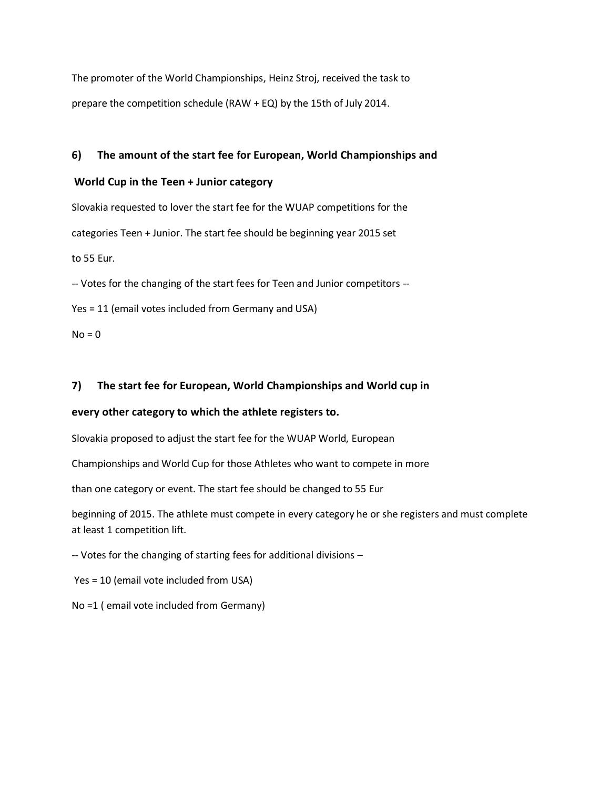The promoter of the World Championships, Heinz Stroj, received the task to prepare the competition schedule (RAW + EQ) by the 15th of July 2014.

# **6) The amount of the start fee for European, World Championships and**

## **World Cup in the Teen + Junior category**

Slovakia requested to lover the start fee for the WUAP competitions for the categories Teen + Junior. The start fee should be beginning year 2015 set to 55 Eur.

-- Votes for the changing of the start fees for Teen and Junior competitors --

Yes = 11 (email votes included from Germany and USA)

 $No = 0$ 

# **7) The start fee for European, World Championships and World cup in**

# **every other category to which the athlete registers to.**

Slovakia proposed to adjust the start fee for the WUAP World, European

Championships and World Cup for those Athletes who want to compete in more

than one category or event. The start fee should be changed to 55 Eur

beginning of 2015. The athlete must compete in every category he or she registers and must complete at least 1 competition lift.

-- Votes for the changing of starting fees for additional divisions –

Yes = 10 (email vote included from USA)

No =1 ( email vote included from Germany)